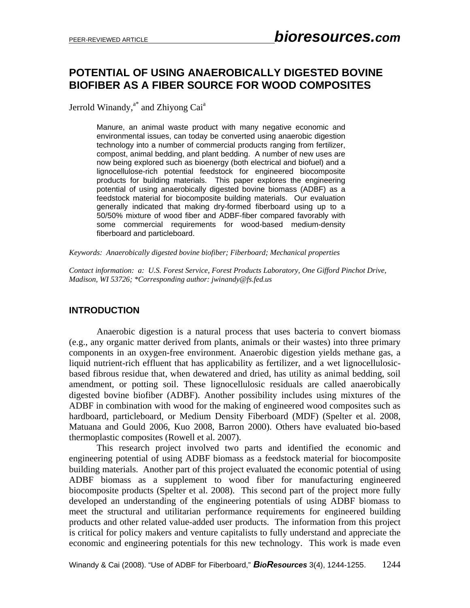# **POTENTIAL OF USING ANAEROBICALLY DIGESTED BOVINE BIOFIBER AS A FIBER SOURCE FOR WOOD COMPOSITES**

Jerrold Winandy,<sup>a\*</sup> and Zhiyong Cai<sup>a</sup>

Manure, an animal waste product with many negative economic and environmental issues, can today be converted using anaerobic digestion technology into a number of commercial products ranging from fertilizer, compost, animal bedding, and plant bedding. A number of new uses are now being explored such as bioenergy (both electrical and biofuel) and a lignocellulose-rich potential feedstock for engineered biocomposite products for building materials. This paper explores the engineering potential of using anaerobically digested bovine biomass (ADBF) as a feedstock material for biocomposite building materials. Our evaluation generally indicated that making dry-formed fiberboard using up to a 50/50% mixture of wood fiber and ADBF-fiber compared favorably with some commercial requirements for wood-based medium-density fiberboard and particleboard.

*Keywords: Anaerobically digested bovine biofiber; Fiberboard; Mechanical properties* 

*Contact information: a: U.S. Forest Service, Forest Products Laboratory, One Gifford Pinchot Drive, Madison, WI 53726; \*Corresponding author: jwinandy@fs.fed.us* 

### **INTRODUCTION**

Anaerobic digestion is a natural process that uses bacteria to convert biomass (e.g., any organic matter derived from plants, animals or their wastes) into three primary components in an oxygen-free environment. Anaerobic digestion yields methane gas, a liquid nutrient-rich effluent that has applicability as fertilizer, and a wet lignocellulosicbased fibrous residue that, when dewatered and dried, has utility as animal bedding, soil amendment, or potting soil. These lignocellulosic residuals are called anaerobically digested bovine biofiber (ADBF). Another possibility includes using mixtures of the ADBF in combination with wood for the making of engineered wood composites such as hardboard, particleboard, or Medium Density Fiberboard (MDF) (Spelter et al. 2008, Matuana and Gould 2006, Kuo 2008, Barron 2000). Others have evaluated bio-based thermoplastic composites (Rowell et al. 2007).

This research project involved two parts and identified the economic and engineering potential of using ADBF biomass as a feedstock material for biocomposite building materials. Another part of this project evaluated the economic potential of using ADBF biomass as a supplement to wood fiber for manufacturing engineered biocomposite products (Spelter et al. 2008). This second part of the project more fully developed an understanding of the engineering potentials of using ADBF biomass to meet the structural and utilitarian performance requirements for engineered building products and other related value-added user products. The information from this project is critical for policy makers and venture capitalists to fully understand and appreciate the economic and engineering potentials for this new technology. This work is made even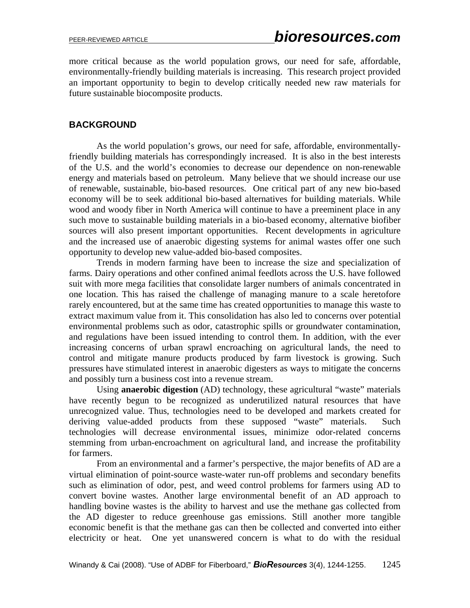more critical because as the world population grows, our need for safe, affordable, environmentally-friendly building materials is increasing. This research project provided an important opportunity to begin to develop critically needed new raw materials for future sustainable biocomposite products.

# **BACKGROUND**

As the world population's grows, our need for safe, affordable, environmentallyfriendly building materials has correspondingly increased. It is also in the best interests of the U.S. and the world's economies to decrease our dependence on non-renewable energy and materials based on petroleum. Many believe that we should increase our use of renewable, sustainable, bio-based resources. One critical part of any new bio-based economy will be to seek additional bio-based alternatives for building materials. While wood and woody fiber in North America will continue to have a preeminent place in any such move to sustainable building materials in a bio-based economy, alternative biofiber sources will also present important opportunities. Recent developments in agriculture and the increased use of anaerobic digesting systems for animal wastes offer one such opportunity to develop new value-added bio-based composites.

Trends in modern farming have been to increase the size and specialization of farms. Dairy operations and other confined animal feedlots across the U.S. have followed suit with more mega facilities that consolidate larger numbers of animals concentrated in one location. This has raised the challenge of managing manure to a scale heretofore rarely encountered, but at the same time has created opportunities to manage this waste to extract maximum value from it. This consolidation has also led to concerns over potential environmental problems such as odor, catastrophic spills or groundwater contamination, and regulations have been issued intending to control them. In addition, with the ever increasing concerns of urban sprawl encroaching on agricultural lands, the need to control and mitigate manure products produced by farm livestock is growing. Such pressures have stimulated interest in anaerobic digesters as ways to mitigate the concerns and possibly turn a business cost into a revenue stream.

Using **anaerobic digestion** (AD) technology, these agricultural "waste" materials have recently begun to be recognized as underutilized natural resources that have unrecognized value. Thus, technologies need to be developed and markets created for deriving value-added products from these supposed "waste" materials. Such technologies will decrease environmental issues, minimize odor-related concerns stemming from urban-encroachment on agricultural land, and increase the profitability for farmers.

From an environmental and a farmer's perspective, the major benefits of AD are a virtual elimination of point-source waste-water run-off problems and secondary benefits such as elimination of odor, pest, and weed control problems for farmers using AD to convert bovine wastes. Another large environmental benefit of an AD approach to handling bovine wastes is the ability to harvest and use the methane gas collected from the AD digester to reduce greenhouse gas emissions. Still another more tangible economic benefit is that the methane gas can then be collected and converted into either electricity or heat. One yet unanswered concern is what to do with the residual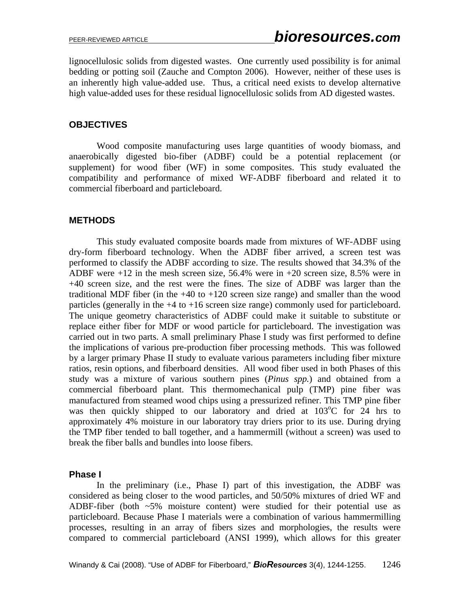lignocellulosic solids from digested wastes. One currently used possibility is for animal bedding or potting soil (Zauche and Compton 2006). However, neither of these uses is an inherently high value-added use. Thus, a critical need exists to develop alternative high value-added uses for these residual lignocellulosic solids from AD digested wastes.

# **OBJECTIVES**

Wood composite manufacturing uses large quantities of woody biomass, and anaerobically digested bio-fiber (ADBF) could be a potential replacement (or supplement) for wood fiber (WF) in some composites. This study evaluated the compatibility and performance of mixed WF-ADBF fiberboard and related it to commercial fiberboard and particleboard.

# **METHODS**

This study evaluated composite boards made from mixtures of WF-ADBF using dry-form fiberboard technology. When the ADBF fiber arrived, a screen test was performed to classify the ADBF according to size. The results showed that 34.3% of the ADBF were +12 in the mesh screen size, 56.4% were in +20 screen size, 8.5% were in +40 screen size, and the rest were the fines. The size of ADBF was larger than the traditional MDF fiber (in the  $+40$  to  $+120$  screen size range) and smaller than the wood particles (generally in the +4 to +16 screen size range) commonly used for particleboard. The unique geometry characteristics of ADBF could make it suitable to substitute or replace either fiber for MDF or wood particle for particleboard. The investigation was carried out in two parts. A small preliminary Phase I study was first performed to define the implications of various pre-production fiber processing methods. This was followed by a larger primary Phase II study to evaluate various parameters including fiber mixture ratios, resin options, and fiberboard densities. All wood fiber used in both Phases of this study was a mixture of various southern pines (*Pinus spp.*) and obtained from a commercial fiberboard plant. This thermomechanical pulp (TMP) pine fiber was manufactured from steamed wood chips using a pressurized refiner. This TMP pine fiber was then quickly shipped to our laboratory and dried at 103°C for 24 hrs to approximately 4% moisture in our laboratory tray driers prior to its use. During drying the TMP fiber tended to ball together, and a hammermill (without a screen) was used to break the fiber balls and bundles into loose fibers.

### **Phase I**

In the preliminary (i.e., Phase I) part of this investigation, the ADBF was considered as being closer to the wood particles, and 50/50% mixtures of dried WF and ADBF-fiber (both  $\sim$  5% moisture content) were studied for their potential use as particleboard. Because Phase I materials were a combination of various hammermilling processes, resulting in an array of fibers sizes and morphologies, the results were compared to commercial particleboard (ANSI 1999), which allows for this greater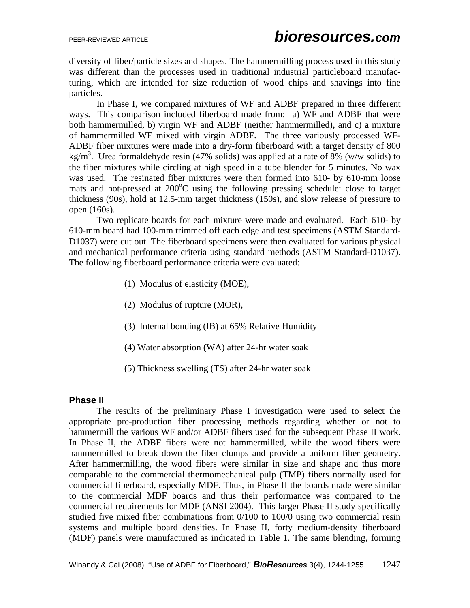diversity of fiber/particle sizes and shapes. The hammermilling process used in this study was different than the processes used in traditional industrial particleboard manufacturing, which are intended for size reduction of wood chips and shavings into fine particles.

In Phase I, we compared mixtures of WF and ADBF prepared in three different ways. This comparison included fiberboard made from: a) WF and ADBF that were both hammermilled, b) virgin WF and ADBF (neither hammermilled), and c) a mixture of hammermilled WF mixed with virgin ADBF. The three variously processed WF-ADBF fiber mixtures were made into a dry-form fiberboard with a target density of 800 kg/m<sup>3</sup>. Urea formaldehyde resin (47% solids) was applied at a rate of 8% (w/w solids) to the fiber mixtures while circling at high speed in a tube blender for 5 minutes. No wax was used. The resinated fiber mixtures were then formed into 610- by 610-mm loose mats and hot-pressed at  $200^{\circ}$ C using the following pressing schedule: close to target thickness (90s), hold at 12.5-mm target thickness (150s), and slow release of pressure to open (160s).

Two replicate boards for each mixture were made and evaluated. Each 610- by 610-mm board had 100-mm trimmed off each edge and test specimens (ASTM Standard-D1037) were cut out. The fiberboard specimens were then evaluated for various physical and mechanical performance criteria using standard methods (ASTM Standard-D1037). The following fiberboard performance criteria were evaluated:

- (1) Modulus of elasticity (MOE),
- (2) Modulus of rupture (MOR),
- (3) Internal bonding (IB) at 65% Relative Humidity
- (4) Water absorption (WA) after 24-hr water soak
- (5) Thickness swelling (TS) after 24-hr water soak

### **Phase II**

The results of the preliminary Phase I investigation were used to select the appropriate pre-production fiber processing methods regarding whether or not to hammermill the various WF and/or ADBF fibers used for the subsequent Phase II work. In Phase II, the ADBF fibers were not hammermilled, while the wood fibers were hammermilled to break down the fiber clumps and provide a uniform fiber geometry. After hammermilling, the wood fibers were similar in size and shape and thus more comparable to the commercial thermomechanical pulp (TMP) fibers normally used for commercial fiberboard, especially MDF. Thus, in Phase II the boards made were similar to the commercial MDF boards and thus their performance was compared to the commercial requirements for MDF (ANSI 2004). This larger Phase II study specifically studied five mixed fiber combinations from 0/100 to 100/0 using two commercial resin systems and multiple board densities. In Phase II, forty medium-density fiberboard (MDF) panels were manufactured as indicated in Table 1. The same blending, forming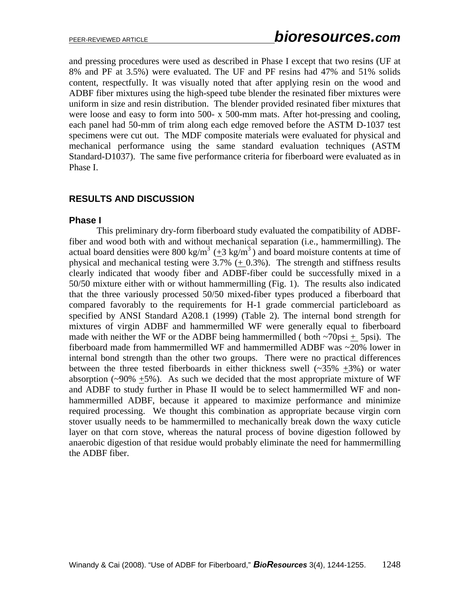and pressing procedures were used as described in Phase I except that two resins (UF at 8% and PF at 3.5%) were evaluated. The UF and PF resins had 47% and 51% solids content, respectfully. It was visually noted that after applying resin on the wood and ADBF fiber mixtures using the high-speed tube blender the resinated fiber mixtures were uniform in size and resin distribution. The blender provided resinated fiber mixtures that were loose and easy to form into 500- x 500-mm mats. After hot-pressing and cooling, each panel had 50-mm of trim along each edge removed before the ASTM D-1037 test specimens were cut out. The MDF composite materials were evaluated for physical and mechanical performance using the same standard evaluation techniques (ASTM Standard-D1037). The same five performance criteria for fiberboard were evaluated as in Phase I.

# **RESULTS AND DISCUSSION**

#### **Phase I**

This preliminary dry-form fiberboard study evaluated the compatibility of ADBFfiber and wood both with and without mechanical separation (i.e., hammermilling). The actual board densities were 800 kg/m<sup>3</sup> ( $\pm$ 3 kg/m<sup>3</sup>) and board moisture contents at time of physical and mechanical testing were  $3.7\%$  (+ 0.3%). The strength and stiffness results clearly indicated that woody fiber and ADBF-fiber could be successfully mixed in a 50/50 mixture either with or without hammermilling (Fig. 1). The results also indicated that the three variously processed 50/50 mixed-fiber types produced a fiberboard that compared favorably to the requirements for H-1 grade commercial particleboard as specified by ANSI Standard A208.1 (1999) (Table 2). The internal bond strength for mixtures of virgin ADBF and hammermilled WF were generally equal to fiberboard made with neither the WF or the ADBF being hammermilled ( both  $\sim$ 70psi + 5psi). The fiberboard made from hammermilled WF and hammermilled ADBF was ~20% lower in internal bond strength than the other two groups. There were no practical differences between the three tested fiberboards in either thickness swell  $(-35\% +3\%)$  or water absorption ( $\sim$ 90%  $\pm$ 5%). As such we decided that the most appropriate mixture of WF and ADBF to study further in Phase II would be to select hammermilled WF and nonhammermilled ADBF, because it appeared to maximize performance and minimize required processing. We thought this combination as appropriate because virgin corn stover usually needs to be hammermilled to mechanically break down the waxy cuticle layer on that corn stove, whereas the natural process of bovine digestion followed by anaerobic digestion of that residue would probably eliminate the need for hammermilling the ADBF fiber.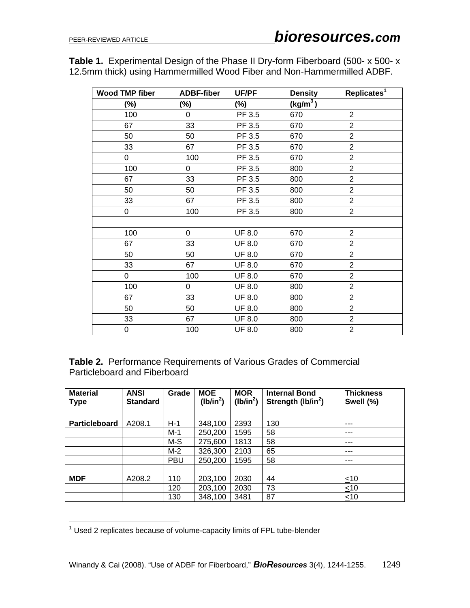**Table 1.** Experimental Design of the Phase II Dry-form Fiberboard (500- x 500- x 12.5mm thick) using Hammermilled Wood Fiber and Non-Hammermilled ADBF.

| <b>Wood TMP fiber</b> | <b>ADBF-fiber</b> | UF/PF         | <b>Density</b> | Replicates <sup>1</sup> |
|-----------------------|-------------------|---------------|----------------|-------------------------|
| $(\%)$                | $(\%)$            | (%)           | $(kg/m^3)$     |                         |
| 100                   | 0                 | PF 3.5        | 670            | $\overline{2}$          |
| 67                    | 33                | PF 3.5        | 670            | $\overline{2}$          |
| 50                    | 50                | PF 3.5        | 670            | $\overline{2}$          |
| 33                    | 67                | PF 3.5        | 670            | $\overline{2}$          |
| 0                     | 100               | PF 3.5        | 670            | $\overline{2}$          |
| 100                   | 0                 | PF 3.5        | 800            | $\overline{2}$          |
| 67                    | 33                | PF 3.5        | 800            | $\overline{2}$          |
| 50                    | 50                | PF 3.5        | 800            | $\overline{2}$          |
| 33                    | 67                | PF 3.5        | 800            | $\overline{2}$          |
| 0                     | 100               | PF 3.5        | 800            | $\overline{2}$          |
|                       |                   |               |                |                         |
| 100                   | 0                 | <b>UF 8.0</b> | 670            | $\overline{2}$          |
| 67                    | 33                | <b>UF 8.0</b> | 670            | $\overline{2}$          |
| 50                    | 50                | <b>UF 8.0</b> | 670            | $\overline{2}$          |
| 33                    | 67                | <b>UF 8.0</b> | 670            | $\overline{2}$          |
| 0                     | 100               | <b>UF 8.0</b> | 670            | $\overline{2}$          |
| 100                   | $\Omega$          | <b>UF 8.0</b> | 800            | $\overline{2}$          |
| 67                    | 33                | <b>UF 8.0</b> | 800            | $\overline{2}$          |
| 50                    | 50                | <b>UF 8.0</b> | 800            | $\overline{2}$          |
| 33                    | 67                | <b>UF 8.0</b> | 800            | $\overline{2}$          |
| 0                     | 100               | <b>UF 8.0</b> | 800            | $\overline{2}$          |

**Table 2.** Performance Requirements of Various Grades of Commercial Particleboard and Fiberboard

| <b>Material</b><br><b>Type</b> | <b>ANSI</b><br><b>Standard</b> | Grade      | <b>MOE</b><br>$(lb/in^2)$ | <b>MOR</b><br>(lb/in <sup>2</sup> ) | <b>Internal Bond</b><br>Strength (lb/in <sup>2</sup> ) | <b>Thickness</b><br>Swell (%) |
|--------------------------------|--------------------------------|------------|---------------------------|-------------------------------------|--------------------------------------------------------|-------------------------------|
| Particleboard                  | A208.1                         | $H-1$      | 348,100                   | 2393                                | 130                                                    | ---                           |
|                                |                                | $M-1$      | 250,200                   | 1595                                | 58                                                     | ---                           |
|                                |                                | M-S        | 275,600                   | 1813                                | 58                                                     | ---                           |
|                                |                                | $M-2$      | 326,300                   | 2103                                | 65                                                     | ---                           |
|                                |                                | <b>PBU</b> | 250,200                   | 1595                                | 58                                                     | ---                           |
|                                |                                |            |                           |                                     |                                                        |                               |
| <b>MDF</b>                     | A208.2                         | 110        | 203,100                   | 2030                                | 44                                                     | $\leq 10$                     |
|                                |                                | 120        | 203,100                   | 2030                                | 73                                                     | $\leq 10$                     |
|                                |                                | 130        | 348,100                   | 3481                                | 87                                                     | ~10                           |

 1 Used 2 replicates because of volume-capacity limits of FPL tube-blender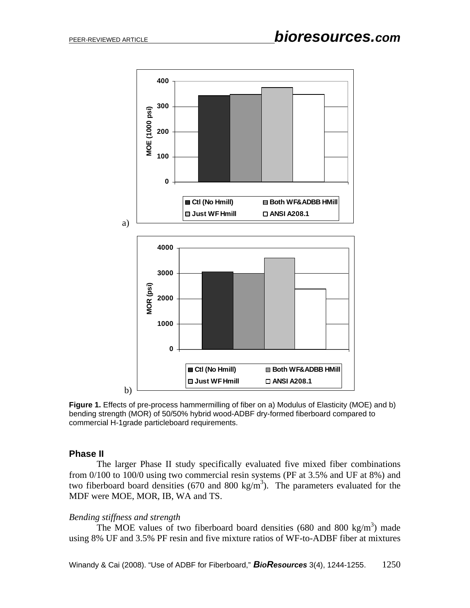

**Figure 1.** Effects of pre-process hammermilling of fiber on a) Modulus of Elasticity (MOE) and b) bending strength (MOR) of 50/50% hybrid wood-ADBF dry-formed fiberboard compared to commercial H-1grade particleboard requirements.

### **Phase II**

The larger Phase II study specifically evaluated five mixed fiber combinations from 0/100 to 100/0 using two commercial resin systems (PF at 3.5% and UF at 8%) and two fiberboard board densities (670 and 800 kg/m<sup>3</sup>). The parameters evaluated for the MDF were MOE, MOR, IB, WA and TS.

### *Bending stiffness and strength*

The MOE values of two fiberboard board densities (680 and 800 kg/m<sup>3</sup>) made using 8% UF and 3.5% PF resin and five mixture ratios of WF-to-ADBF fiber at mixtures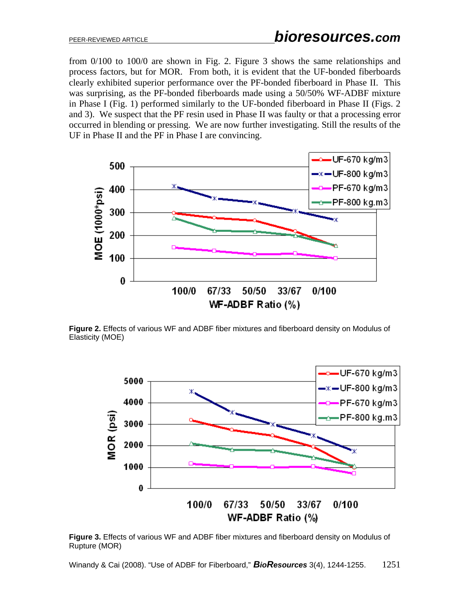from 0/100 to 100/0 are shown in Fig. 2. Figure 3 shows the same relationships and process factors, but for MOR. From both, it is evident that the UF-bonded fiberboards clearly exhibited superior performance over the PF-bonded fiberboard in Phase II. This was surprising, as the PF-bonded fiberboards made using a 50/50% WF-ADBF mixture in Phase I (Fig. 1) performed similarly to the UF-bonded fiberboard in Phase II (Figs. 2 and 3). We suspect that the PF resin used in Phase II was faulty or that a processing error occurred in blending or pressing. We are now further investigating. Still the results of the UF in Phase II and the PF in Phase I are convincing.



**Figure 2.** Effects of various WF and ADBF fiber mixtures and fiberboard density on Modulus of Elasticity (MOE)



**Figure 3.** Effects of various WF and ADBF fiber mixtures and fiberboard density on Modulus of Rupture (MOR)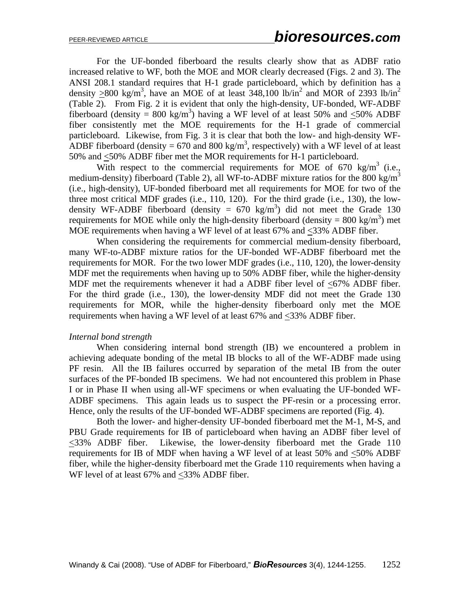For the UF-bonded fiberboard the results clearly show that as ADBF ratio increased relative to WF, both the MOE and MOR clearly decreased (Figs. 2 and 3). The ANSI 208.1 standard requires that H-1 grade particleboard, which by definition has a density  $\geq 800$  kg/m<sup>3</sup>, have an MOE of at least 348,100 lb/in<sup>2</sup> and MOR of 2393 lb/in<sup>2</sup> (Table 2). From Fig. 2 it is evident that only the high-density, UF-bonded, WF-ADBF fiberboard (density = 800 kg/m<sup>3</sup>) having a WF level of at least 50% and  $\leq$ 50% ADBF fiber consistently met the MOE requirements for the H-1 grade of commercial particleboard. Likewise, from Fig. 3 it is clear that both the low- and high-density WF-ADBF fiberboard (density = 670 and 800 kg/m<sup>3</sup>, respectively) with a WF level of at least 50% and <50% ADBF fiber met the MOR requirements for H-1 particleboard.

With respect to the commercial requirements for MOE of 670 kg/m<sup>3</sup> (i.e., medium-density) fiberboard (Table 2), all WF-to-ADBF mixture ratios for the 800 kg/m<sup>3</sup> (i.e., high-density), UF-bonded fiberboard met all requirements for MOE for two of the three most critical MDF grades (i.e., 110, 120). For the third grade (i.e., 130), the lowdensity WF-ADBF fiberboard (density =  $670 \text{ kg/m}^3$ ) did not meet the Grade 130 requirements for MOE while only the high-density fiberboard (density =  $800 \text{ kg/m}^3$ ) met MOE requirements when having a WF level of at least 67% and <33% ADBF fiber.

 When considering the requirements for commercial medium-density fiberboard, many WF-to-ADBF mixture ratios for the UF-bonded WF-ADBF fiberboard met the requirements for MOR. For the two lower MDF grades (i.e., 110, 120), the lower-density MDF met the requirements when having up to 50% ADBF fiber, while the higher-density MDF met the requirements whenever it had a ADBF fiber level of <67% ADBF fiber. For the third grade (i.e., 130), the lower-density MDF did not meet the Grade 130 requirements for MOR, while the higher-density fiberboard only met the MOE requirements when having a WF level of at least 67% and <33% ADBF fiber.

#### *Internal bond strength*

When considering internal bond strength (IB) we encountered a problem in achieving adequate bonding of the metal IB blocks to all of the WF-ADBF made using PF resin. All the IB failures occurred by separation of the metal IB from the outer surfaces of the PF-bonded IB specimens. We had not encountered this problem in Phase I or in Phase II when using all-WF specimens or when evaluating the UF-bonded WF-ADBF specimens. This again leads us to suspect the PF-resin or a processing error. Hence, only the results of the UF-bonded WF-ADBF specimens are reported (Fig. 4).

Both the lower- and higher-density UF-bonded fiberboard met the M-1, M-S, and PBU Grade requirements for IB of particleboard when having an ADBF fiber level of <33% ADBF fiber. Likewise, the lower-density fiberboard met the Grade 110 requirements for IB of MDF when having a WF level of at least 50% and <50% ADBF fiber, while the higher-density fiberboard met the Grade 110 requirements when having a WF level of at least 67% and <33% ADBF fiber.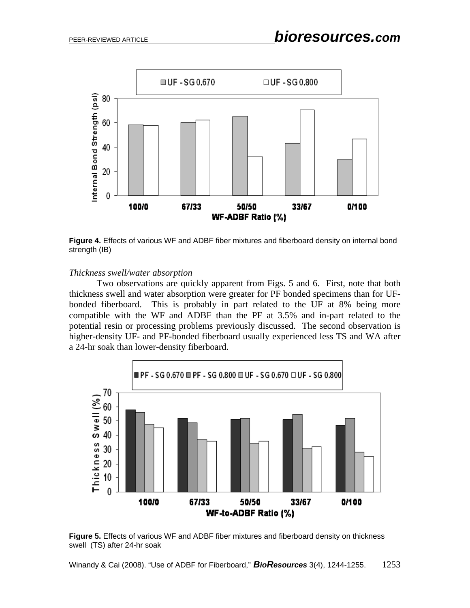

**Figure 4.** Effects of various WF and ADBF fiber mixtures and fiberboard density on internal bond strength (IB)

#### *Thickness swell/water absorption*

Two observations are quickly apparent from Figs. 5 and 6. First, note that both thickness swell and water absorption were greater for PF bonded specimens than for UFbonded fiberboard. This is probably in part related to the UF at 8% being more compatible with the WF and ADBF than the PF at 3.5% and in-part related to the potential resin or processing problems previously discussed. The second observation is higher-density UF- and PF-bonded fiberboard usually experienced less TS and WA after a 24-hr soak than lower-density fiberboard.



**Figure 5.** Effects of various WF and ADBF fiber mixtures and fiberboard density on thickness swell (TS) after 24-hr soak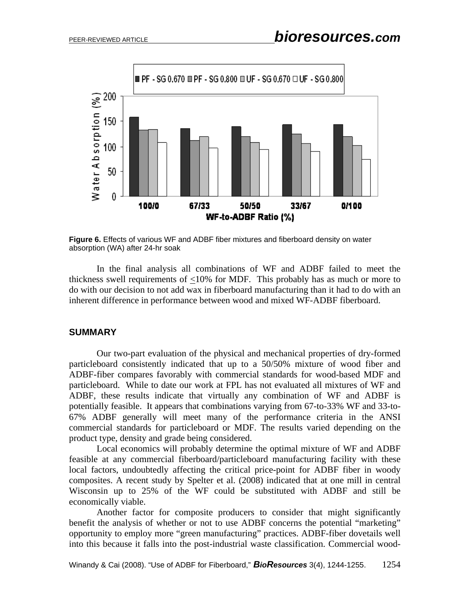

**Figure 6.** Effects of various WF and ADBF fiber mixtures and fiberboard density on water absorption (WA) after 24-hr soak

In the final analysis all combinations of WF and ADBF failed to meet the thickness swell requirements of <10% for MDF. This probably has as much or more to do with our decision to not add wax in fiberboard manufacturing than it had to do with an inherent difference in performance between wood and mixed WF-ADBF fiberboard.

#### **SUMMARY**

 Our two-part evaluation of the physical and mechanical properties of dry-formed particleboard consistently indicated that up to a 50/50% mixture of wood fiber and ADBF-fiber compares favorably with commercial standards for wood-based MDF and particleboard. While to date our work at FPL has not evaluated all mixtures of WF and ADBF, these results indicate that virtually any combination of WF and ADBF is potentially feasible. It appears that combinations varying from 67-to-33% WF and 33-to-67% ADBF generally will meet many of the performance criteria in the ANSI commercial standards for particleboard or MDF. The results varied depending on the product type, density and grade being considered.

 Local economics will probably determine the optimal mixture of WF and ADBF feasible at any commercial fiberboard/particleboard manufacturing facility with these local factors, undoubtedly affecting the critical price-point for ADBF fiber in woody composites. A recent study by Spelter et al. (2008) indicated that at one mill in central Wisconsin up to 25% of the WF could be substituted with ADBF and still be economically viable.

Another factor for composite producers to consider that might significantly benefit the analysis of whether or not to use ADBF concerns the potential "marketing" opportunity to employ more "green manufacturing" practices. ADBF-fiber dovetails well into this because it falls into the post-industrial waste classification. Commercial wood-